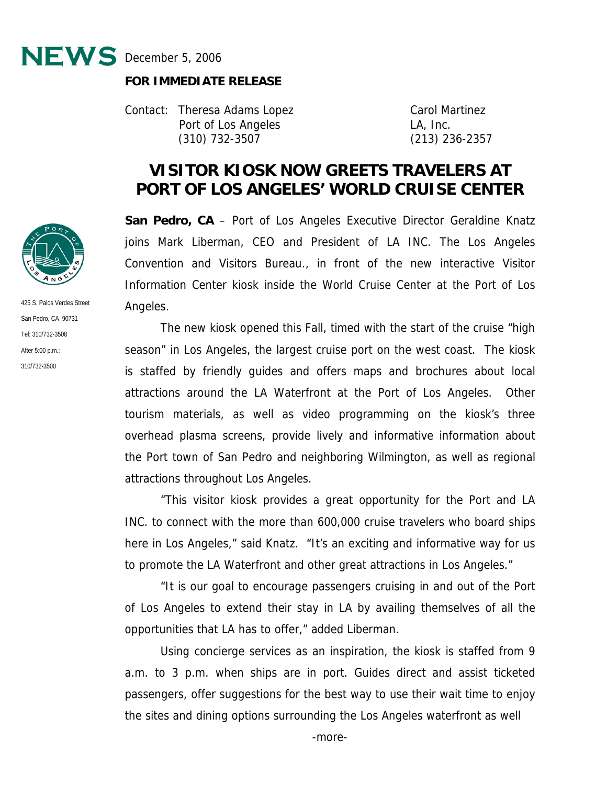

## **FOR IMMEDIATE RELEASE**

Contact: Theresa Adams Lopez Carol Martinez Port of Los Angeles LA, Inc. (310) 732-3507 (213) 236-2357

## **VISITOR KIOSK NOW GREETS TRAVELERS AT PORT OF LOS ANGELES' WORLD CRUISE CENTER**

**San Pedro, CA** – Port of Los Angeles Executive Director Geraldine Knatz joins Mark Liberman, CEO and President of LA INC. The Los Angeles Convention and Visitors Bureau., in front of the new interactive Visitor Information Center kiosk inside the World Cruise Center at the Port of Los Angeles.

The new kiosk opened this Fall, timed with the start of the cruise "high season" in Los Angeles, the largest cruise port on the west coast. The kiosk is staffed by friendly guides and offers maps and brochures about local attractions around the LA Waterfront at the Port of Los Angeles. Other tourism materials, as well as video programming on the kiosk's three overhead plasma screens, provide lively and informative information about the Port town of San Pedro and neighboring Wilmington, as well as regional attractions throughout Los Angeles.

"This visitor kiosk provides a great opportunity for the Port and LA INC. to connect with the more than 600,000 cruise travelers who board ships here in Los Angeles," said Knatz. "It's an exciting and informative way for us to promote the LA Waterfront and other great attractions in Los Angeles."

"It is our goal to encourage passengers cruising in and out of the Port of Los Angeles to extend their stay in LA by availing themselves of all the opportunities that LA has to offer," added Liberman.

Using concierge services as an inspiration, the kiosk is staffed from 9 a.m. to 3 p.m. when ships are in port. Guides direct and assist ticketed passengers, offer suggestions for the best way to use their wait time to enjoy the sites and dining options surrounding the Los Angeles waterfront as well



425 S. Palos Verdes Street San Pedro, CA 90731 Tel: 310/732-3508 After 5:00 p.m.: 310/732-3500